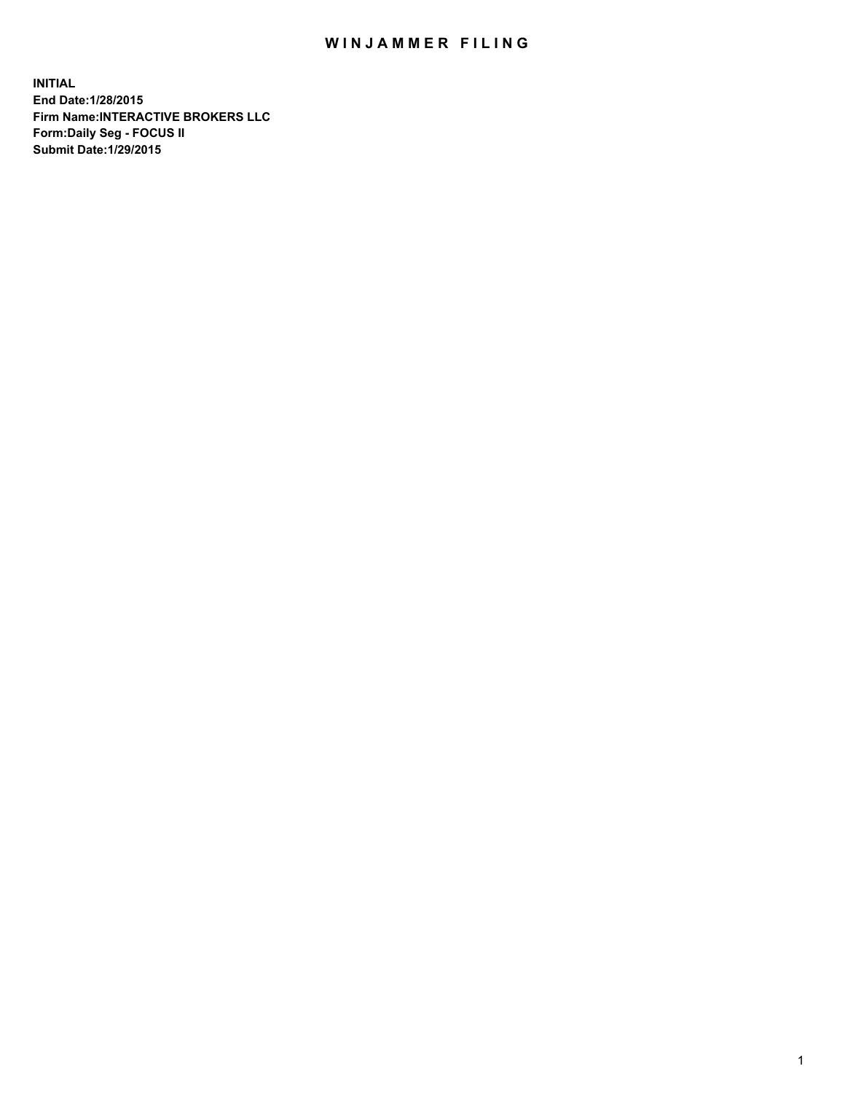## WIN JAMMER FILING

**INITIAL End Date:1/28/2015 Firm Name:INTERACTIVE BROKERS LLC Form:Daily Seg - FOCUS II Submit Date:1/29/2015**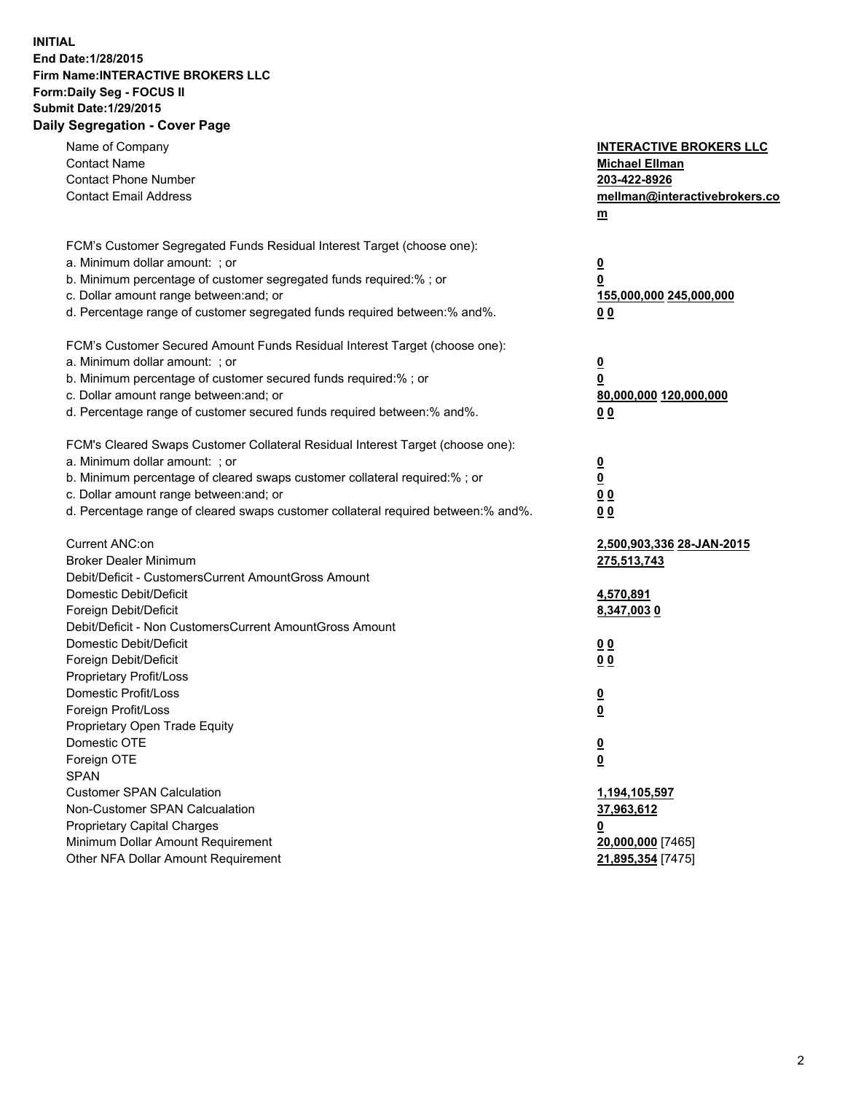## **INITIAL End Date:1/28/2015 Firm Name:INTERACTIVE BROKERS LLC Form:Daily Seg - FOCUS II Submit Date:1/29/2015 Daily Segregation - Cover Page**

| Name of Company<br><b>Contact Name</b><br><b>Contact Phone Number</b><br><b>Contact Email Address</b>                                                                                                                                                                                                                          | <b>INTERACTIVE BROKERS LLC</b><br><b>Michael Ellman</b><br>203-422-8926<br>mellman@interactivebrokers.co<br>$m$ |
|--------------------------------------------------------------------------------------------------------------------------------------------------------------------------------------------------------------------------------------------------------------------------------------------------------------------------------|-----------------------------------------------------------------------------------------------------------------|
| FCM's Customer Segregated Funds Residual Interest Target (choose one):<br>a. Minimum dollar amount: ; or<br>b. Minimum percentage of customer segregated funds required:% ; or<br>c. Dollar amount range between: and; or<br>d. Percentage range of customer segregated funds required between:% and%.                         | <u>0</u><br><u>0</u><br>155,000,000 245,000,000<br>0 <sub>0</sub>                                               |
| FCM's Customer Secured Amount Funds Residual Interest Target (choose one):<br>a. Minimum dollar amount: ; or<br>b. Minimum percentage of customer secured funds required:% ; or<br>c. Dollar amount range between: and; or<br>d. Percentage range of customer secured funds required between:% and%.                           | <u>0</u><br>0<br>80,000,000 120,000,000<br>0 <sub>0</sub>                                                       |
| FCM's Cleared Swaps Customer Collateral Residual Interest Target (choose one):<br>a. Minimum dollar amount: ; or<br>b. Minimum percentage of cleared swaps customer collateral required:% ; or<br>c. Dollar amount range between: and; or<br>d. Percentage range of cleared swaps customer collateral required between:% and%. | $\overline{\mathbf{0}}$<br>$\underline{\mathbf{0}}$<br>0 <sub>0</sub><br>0 <sub>0</sub>                         |
| Current ANC:on<br><b>Broker Dealer Minimum</b><br>Debit/Deficit - CustomersCurrent AmountGross Amount<br>Domestic Debit/Deficit<br>Foreign Debit/Deficit                                                                                                                                                                       | 2,500,903,336 28-JAN-2015<br>275,513,743<br>4,570,891<br>8,347,0030                                             |
| Debit/Deficit - Non CustomersCurrent AmountGross Amount<br>Domestic Debit/Deficit<br>Foreign Debit/Deficit<br>Proprietary Profit/Loss<br>Domestic Profit/Loss                                                                                                                                                                  | 0 <sub>0</sub><br>00<br><u>0</u>                                                                                |
| Foreign Profit/Loss<br>Proprietary Open Trade Equity<br>Domestic OTE<br>Foreign OTE<br><b>SPAN</b><br><b>Customer SPAN Calculation</b>                                                                                                                                                                                         | <u>0</u><br><u>0</u><br><u>0</u><br>1,194,105,597                                                               |
| Non-Customer SPAN Calcualation<br><b>Proprietary Capital Charges</b><br>Minimum Dollar Amount Requirement<br>Other NFA Dollar Amount Requirement                                                                                                                                                                               | 37,963,612<br><u>0</u><br>20,000,000 [7465]<br>21,895,354 [7475]                                                |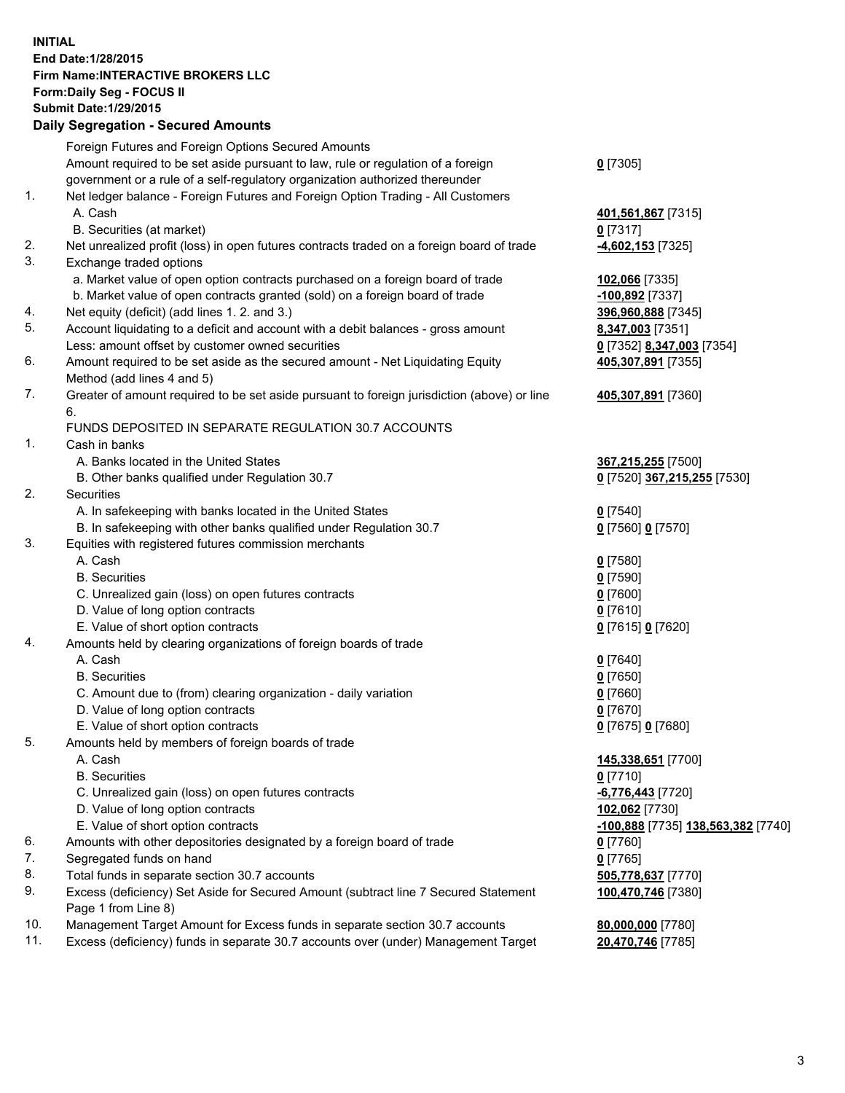## **INITIAL End Date:1/28/2015 Firm Name:INTERACTIVE BROKERS LLC Form:Daily Seg - FOCUS II Submit Date:1/29/2015 Daily Segregation - Secured Amounts**

|     | Dany Ocgregation - Oceanea Amounts                                                                         |                                    |
|-----|------------------------------------------------------------------------------------------------------------|------------------------------------|
|     | Foreign Futures and Foreign Options Secured Amounts                                                        |                                    |
|     | Amount required to be set aside pursuant to law, rule or regulation of a foreign                           | $0$ [7305]                         |
|     | government or a rule of a self-regulatory organization authorized thereunder                               |                                    |
| 1.  | Net ledger balance - Foreign Futures and Foreign Option Trading - All Customers                            |                                    |
|     | A. Cash                                                                                                    | 401,561,867 [7315]                 |
|     | B. Securities (at market)                                                                                  | $0$ [7317]                         |
| 2.  | Net unrealized profit (loss) in open futures contracts traded on a foreign board of trade                  | -4,602,153 [7325]                  |
| 3.  | Exchange traded options                                                                                    |                                    |
|     | a. Market value of open option contracts purchased on a foreign board of trade                             | 102,066 [7335]                     |
|     | b. Market value of open contracts granted (sold) on a foreign board of trade                               | -100,892 [7337]                    |
| 4.  | Net equity (deficit) (add lines 1.2. and 3.)                                                               | 396,960,888 [7345]                 |
| 5.  | Account liquidating to a deficit and account with a debit balances - gross amount                          | 8,347,003 [7351]                   |
|     | Less: amount offset by customer owned securities                                                           | 0 [7352] 8,347,003 [7354]          |
| 6.  | Amount required to be set aside as the secured amount - Net Liquidating Equity                             | 405,307,891 [7355]                 |
|     | Method (add lines 4 and 5)                                                                                 |                                    |
| 7.  | Greater of amount required to be set aside pursuant to foreign jurisdiction (above) or line                | 405,307,891 [7360]                 |
|     | 6.                                                                                                         |                                    |
|     | FUNDS DEPOSITED IN SEPARATE REGULATION 30.7 ACCOUNTS                                                       |                                    |
| 1.  | Cash in banks                                                                                              |                                    |
|     | A. Banks located in the United States                                                                      | 367,215,255 [7500]                 |
|     | B. Other banks qualified under Regulation 30.7                                                             | 0 [7520] 367,215,255 [7530]        |
| 2.  | Securities                                                                                                 |                                    |
|     | A. In safekeeping with banks located in the United States                                                  | $0$ [7540]                         |
|     | B. In safekeeping with other banks qualified under Regulation 30.7                                         | 0 [7560] 0 [7570]                  |
| 3.  | Equities with registered futures commission merchants                                                      |                                    |
|     | A. Cash                                                                                                    | $0$ [7580]                         |
|     | <b>B.</b> Securities                                                                                       | <u>0</u> [7590]                    |
|     | C. Unrealized gain (loss) on open futures contracts                                                        | $0$ [7600]                         |
|     | D. Value of long option contracts                                                                          | $0$ [7610]                         |
|     | E. Value of short option contracts                                                                         | 0 [7615] 0 [7620]                  |
| 4.  | Amounts held by clearing organizations of foreign boards of trade                                          |                                    |
|     | A. Cash                                                                                                    | $0$ [7640]                         |
|     | <b>B.</b> Securities                                                                                       | $0$ [7650]                         |
|     | C. Amount due to (from) clearing organization - daily variation                                            | $0$ [7660]                         |
|     | D. Value of long option contracts                                                                          | $0$ [7670]                         |
|     | E. Value of short option contracts                                                                         | 0 [7675] 0 [7680]                  |
| 5.  | Amounts held by members of foreign boards of trade                                                         |                                    |
|     | A. Cash                                                                                                    | 145,338,651 [7700]                 |
|     | <b>B.</b> Securities                                                                                       | $0$ [7710]                         |
|     | C. Unrealized gain (loss) on open futures contracts                                                        | $-6,776,443$ [7720]                |
|     | D. Value of long option contracts                                                                          | 102,062 [7730]                     |
|     | E. Value of short option contracts                                                                         | -100,888 [7735] 138,563,382 [7740] |
| 6.  | Amounts with other depositories designated by a foreign board of trade                                     | 0 [7760]                           |
| 7.  | Segregated funds on hand                                                                                   | $0$ [7765]                         |
| 8.  | Total funds in separate section 30.7 accounts                                                              | 505,778,637 [7770]                 |
| 9.  | Excess (deficiency) Set Aside for Secured Amount (subtract line 7 Secured Statement<br>Page 1 from Line 8) | 100,470,746 [7380]                 |
| 10. | Management Target Amount for Excess funds in separate section 30.7 accounts                                | 80,000,000 [7780]                  |
| 11. | Excess (deficiency) funds in separate 30.7 accounts over (under) Management Target                         | 20,470,746 [7785]                  |
|     |                                                                                                            |                                    |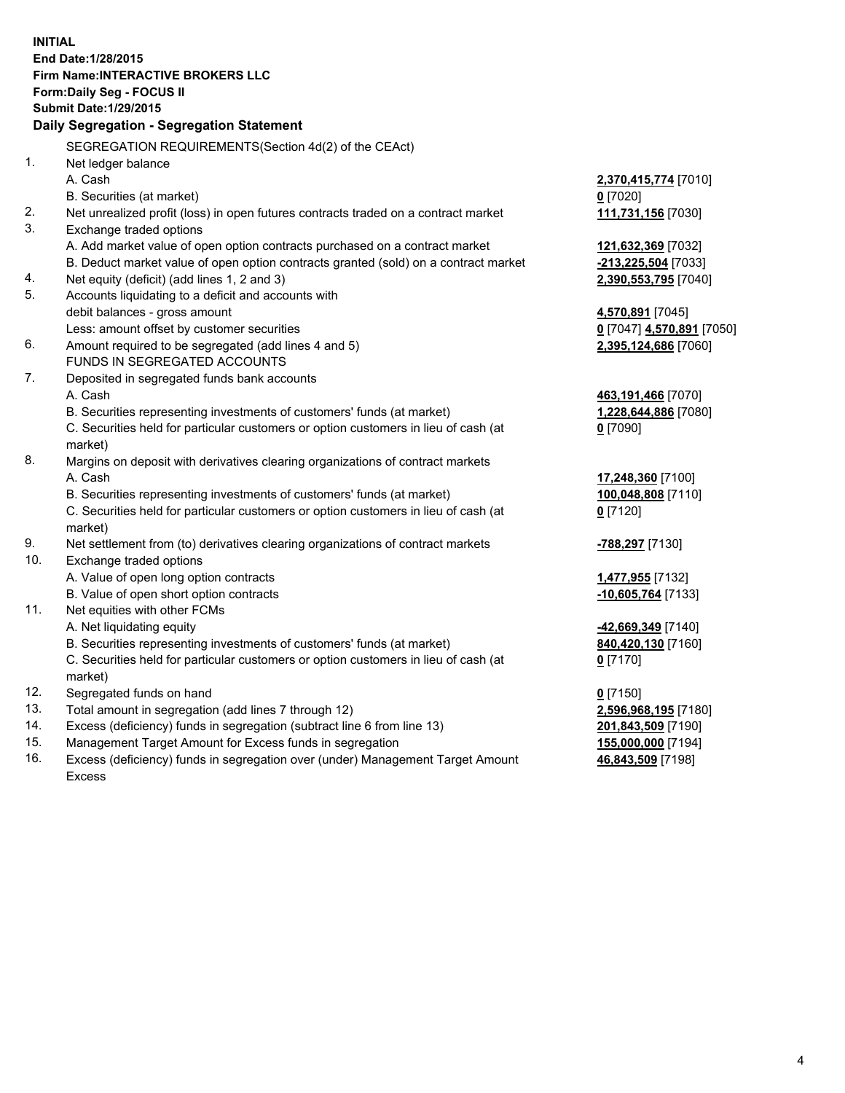**INITIAL End Date:1/28/2015 Firm Name:INTERACTIVE BROKERS LLC Form:Daily Seg - FOCUS II Submit Date:1/29/2015 Daily Segregation - Segregation Statement** SEGREGATION REQUIREMENTS(Section 4d(2) of the CEAct) 1. Net ledger balance A. Cash **2,370,415,774** [7010] B. Securities (at market) **0** [7020] 2. Net unrealized profit (loss) in open futures contracts traded on a contract market **111,731,156** [7030] 3. Exchange traded options A. Add market value of open option contracts purchased on a contract market **121,632,369** [7032] B. Deduct market value of open option contracts granted (sold) on a contract market **-213,225,504** [7033] 4. Net equity (deficit) (add lines 1, 2 and 3) **2,390,553,795** [7040] 5. Accounts liquidating to a deficit and accounts with debit balances - gross amount **4,570,891** [7045] Less: amount offset by customer securities **0** [7047] **4,570,891** [7050] 6. Amount required to be segregated (add lines 4 and 5) **2,395,124,686** [7060] FUNDS IN SEGREGATED ACCOUNTS 7. Deposited in segregated funds bank accounts A. Cash **463,191,466** [7070] B. Securities representing investments of customers' funds (at market) **1,228,644,886** [7080] C. Securities held for particular customers or option customers in lieu of cash (at market) **0** [7090] 8. Margins on deposit with derivatives clearing organizations of contract markets A. Cash **17,248,360** [7100] B. Securities representing investments of customers' funds (at market) **100,048,808** [7110] C. Securities held for particular customers or option customers in lieu of cash (at market) **0** [7120] 9. Net settlement from (to) derivatives clearing organizations of contract markets **-788,297** [7130] 10. Exchange traded options A. Value of open long option contracts **1,477,955** [7132] B. Value of open short option contracts **-10,605,764** [7133] 11. Net equities with other FCMs A. Net liquidating equity **-42,669,349** [7140] B. Securities representing investments of customers' funds (at market) **840,420,130** [7160] C. Securities held for particular customers or option customers in lieu of cash (at market) **0** [7170] 12. Segregated funds on hand **0** [7150] 13. Total amount in segregation (add lines 7 through 12) **2,596,968,195** [7180] 14. Excess (deficiency) funds in segregation (subtract line 6 from line 13) **201,843,509** [7190] 15. Management Target Amount for Excess funds in segregation **155,000,000** [7194]

16. Excess (deficiency) funds in segregation over (under) Management Target Amount Excess

**46,843,509** [7198]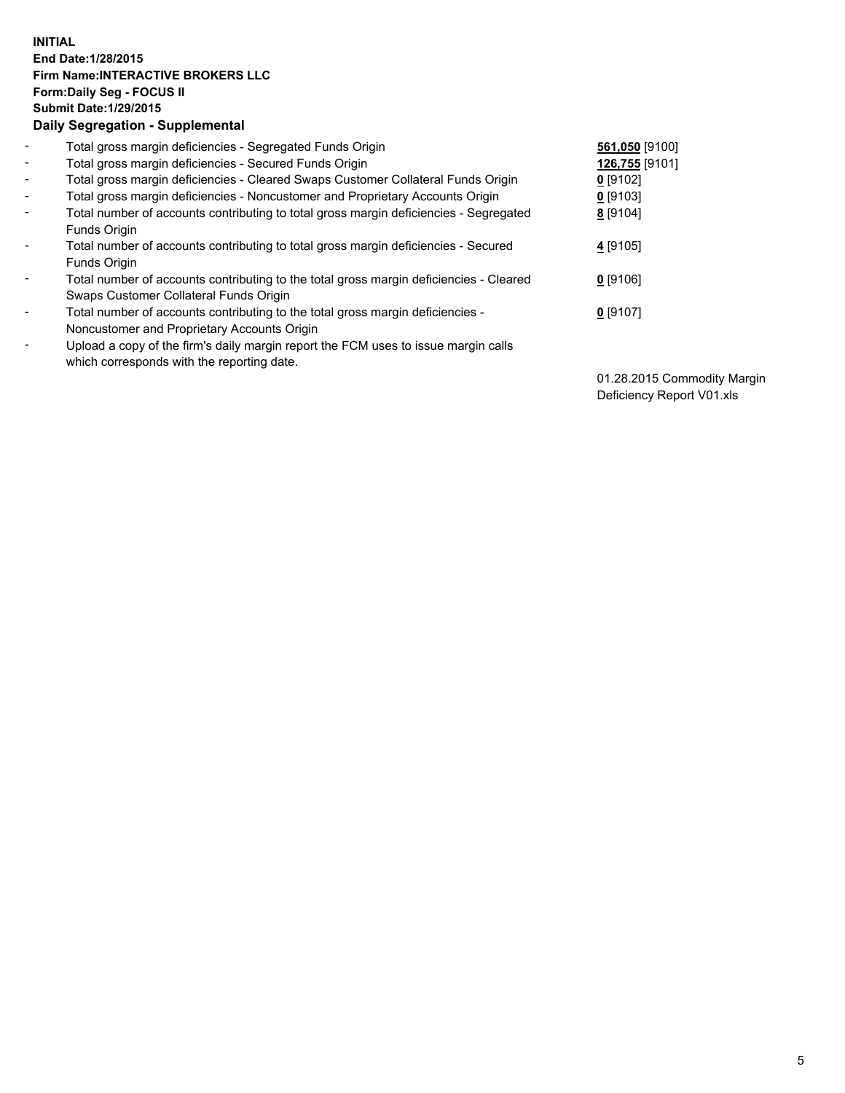## **INITIAL End Date:1/28/2015 Firm Name:INTERACTIVE BROKERS LLC Form:Daily Seg - FOCUS II Submit Date:1/29/2015 Daily Segregation - Supplemental**

| $\blacksquare$           | Total gross margin deficiencies - Segregated Funds Origin                              | 561,050 [9100] |
|--------------------------|----------------------------------------------------------------------------------------|----------------|
| $\blacksquare$           | Total gross margin deficiencies - Secured Funds Origin                                 | 126,755 [9101] |
| $\blacksquare$           | Total gross margin deficiencies - Cleared Swaps Customer Collateral Funds Origin       | $0$ [9102]     |
| $\blacksquare$           | Total gross margin deficiencies - Noncustomer and Proprietary Accounts Origin          | $0$ [9103]     |
| $\blacksquare$           | Total number of accounts contributing to total gross margin deficiencies - Segregated  | 8 [9104]       |
|                          | <b>Funds Origin</b>                                                                    |                |
| $\blacksquare$           | Total number of accounts contributing to total gross margin deficiencies - Secured     | 4 [9105]       |
|                          | Funds Origin                                                                           |                |
| $\overline{\phantom{a}}$ | Total number of accounts contributing to the total gross margin deficiencies - Cleared | $0$ [9106]     |
|                          | Swaps Customer Collateral Funds Origin                                                 |                |
| $\blacksquare$           | Total number of accounts contributing to the total gross margin deficiencies -         | $0$ [9107]     |
|                          | Noncustomer and Proprietary Accounts Origin                                            |                |
| $\blacksquare$           | Upload a copy of the firm's daily margin report the FCM uses to issue margin calls     |                |
|                          | which corresponds with the reporting date.                                             |                |

01.28.2015 Commodity Margin Deficiency Report V01.xls